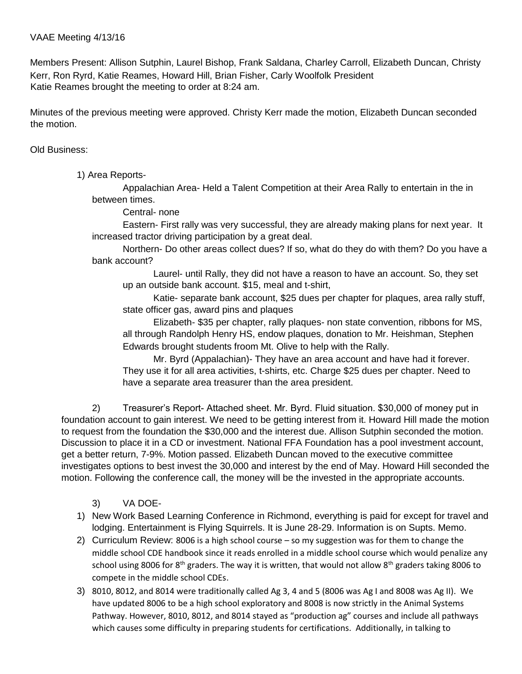Members Present: Allison Sutphin, Laurel Bishop, Frank Saldana, Charley Carroll, Elizabeth Duncan, Christy Kerr, Ron Ryrd, Katie Reames, Howard Hill, Brian Fisher, Carly Woolfolk President Katie Reames brought the meeting to order at 8:24 am.

Minutes of the previous meeting were approved. Christy Kerr made the motion, Elizabeth Duncan seconded the motion.

Old Business:

1) Area Reports-

Appalachian Area- Held a Talent Competition at their Area Rally to entertain in the in between times.

Central- none

Eastern- First rally was very successful, they are already making plans for next year. It increased tractor driving participation by a great deal.

Northern- Do other areas collect dues? If so, what do they do with them? Do you have a bank account?

Laurel- until Rally, they did not have a reason to have an account. So, they set up an outside bank account. \$15, meal and t-shirt,

Katie- separate bank account, \$25 dues per chapter for plaques, area rally stuff, state officer gas, award pins and plaques

Elizabeth- \$35 per chapter, rally plaques- non state convention, ribbons for MS, all through Randolph Henry HS, endow plaques, donation to Mr. Heishman, Stephen Edwards brought students froom Mt. Olive to help with the Rally.

Mr. Byrd (Appalachian)- They have an area account and have had it forever. They use it for all area activities, t-shirts, etc. Charge \$25 dues per chapter. Need to have a separate area treasurer than the area president.

2) Treasurer's Report-Attached sheet. Mr. Byrd. Fluid situation. \$30,000 of money put in foundation account to gain interest. We need to be getting interest from it. Howard Hill made the motion to request from the foundation the \$30,000 and the interest due. Allison Sutphin seconded the motion. Discussion to place it in a CD or investment. National FFA Foundation has a pool investment account, get a better return, 7-9%. Motion passed. Elizabeth Duncan moved to the executive committee investigates options to best invest the 30,000 and interest by the end of May. Howard Hill seconded the motion. Following the conference call, the money will be the invested in the appropriate accounts.

- 3) VA DOE-
- 1) New Work Based Learning Conference in Richmond, everything is paid for except for travel and lodging. Entertainment is Flying Squirrels. It is June 28-29. Information is on Supts. Memo.
- 2) Curriculum Review: 8006 is a high school course so my suggestion was for them to change the middle school CDE handbook since it reads enrolled in a middle school course which would penalize any school using 8006 for 8<sup>th</sup> graders. The way it is written, that would not allow 8<sup>th</sup> graders taking 8006 to compete in the middle school CDEs.
- 3) 8010, 8012, and 8014 were traditionally called Ag 3, 4 and 5 (8006 was Ag I and 8008 was Ag II). We have updated 8006 to be a high school exploratory and 8008 is now strictly in the Animal Systems Pathway. However, 8010, 8012, and 8014 stayed as "production ag" courses and include all pathways which causes some difficulty in preparing students for certifications. Additionally, in talking to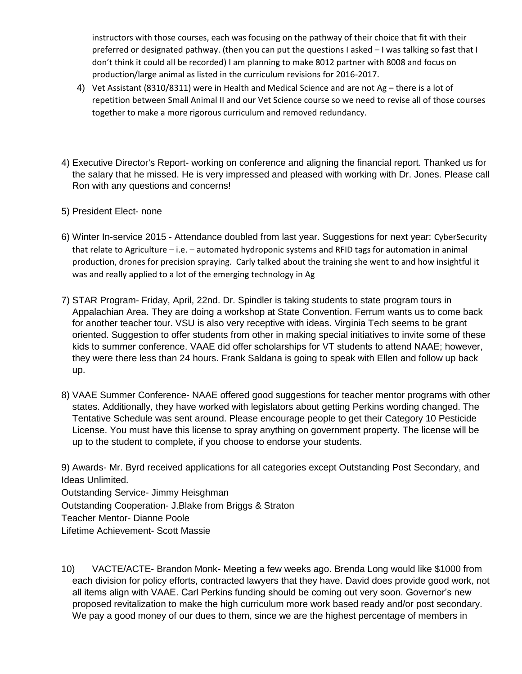instructors with those courses, each was focusing on the pathway of their choice that fit with their preferred or designated pathway. (then you can put the questions I asked – I was talking so fast that I don't think it could all be recorded) I am planning to make 8012 partner with 8008 and focus on production/large animal as listed in the curriculum revisions for 2016-2017.

- 4) Vet Assistant (8310/8311) were in Health and Medical Science and are not Ag there is a lot of repetition between Small Animal II and our Vet Science course so we need to revise all of those courses together to make a more rigorous curriculum and removed redundancy.
- 4) Executive Director's Report- working on conference and aligning the financial report. Thanked us for the salary that he missed. He is very impressed and pleased with working with Dr. Jones. Please call Ron with any questions and concerns!
- 5) President Elect- none
- 6) Winter In-service 2015 Attendance doubled from last year. Suggestions for next year: CyberSecurity that relate to Agriculture – i.e. – automated hydroponic systems and RFID tags for automation in animal production, drones for precision spraying. Carly talked about the training she went to and how insightful it was and really applied to a lot of the emerging technology in Ag
- 7) STAR Program- Friday, April, 22nd. Dr. Spindler is taking students to state program tours in Appalachian Area. They are doing a workshop at State Convention. Ferrum wants us to come back for another teacher tour. VSU is also very receptive with ideas. Virginia Tech seems to be grant oriented. Suggestion to offer students from other in making special initiatives to invite some of these kids to summer conference. VAAE did offer scholarships for VT students to attend NAAE; however, they were there less than 24 hours. Frank Saldana is going to speak with Ellen and follow up back up.
- 8) VAAE Summer Conference- NAAE offered good suggestions for teacher mentor programs with other states. Additionally, they have worked with legislators about getting Perkins wording changed. The Tentative Schedule was sent around. Please encourage people to get their Category 10 Pesticide License. You must have this license to spray anything on government property. The license will be up to the student to complete, if you choose to endorse your students.

9) Awards- Mr. Byrd received applications for all categories except Outstanding Post Secondary, and Ideas Unlimited. Outstanding Service- Jimmy Heisghman Outstanding Cooperation- J.Blake from Briggs & Straton Teacher Mentor- Dianne Poole Lifetime Achievement- Scott Massie

10) VACTE/ACTE- Brandon Monk- Meeting a few weeks ago. Brenda Long would like \$1000 from each division for policy efforts, contracted lawyers that they have. David does provide good work, not all items align with VAAE. Carl Perkins funding should be coming out very soon. Governor's new proposed revitalization to make the high curriculum more work based ready and/or post secondary. We pay a good money of our dues to them, since we are the highest percentage of members in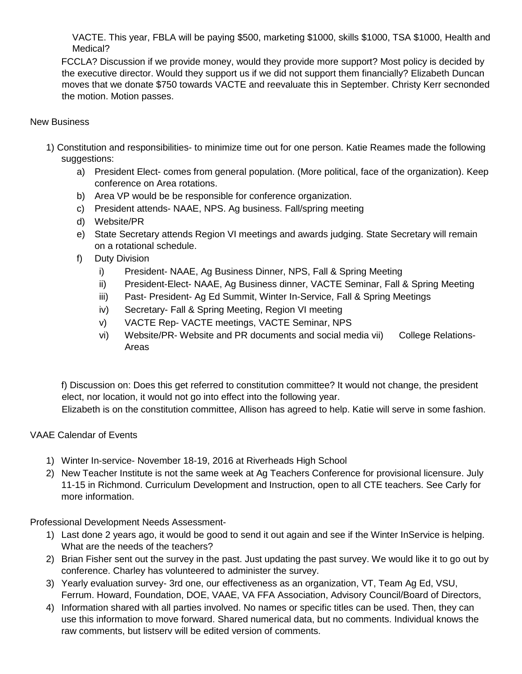VACTE. This year, FBLA will be paying \$500, marketing \$1000, skills \$1000, TSA \$1000, Health and Medical?

FCCLA? Discussion if we provide money, would they provide more support? Most policy is decided by the executive director. Would they support us if we did not support them financially? Elizabeth Duncan moves that we donate \$750 towards VACTE and reevaluate this in September. Christy Kerr secnonded the motion. Motion passes.

## New Business

- 1) Constitution and responsibilities- to minimize time out for one person. Katie Reames made the following suggestions:
	- a) President Elect- comes from general population. (More political, face of the organization). Keep conference on Area rotations.
	- b) Area VP would be be responsible for conference organization.
	- c) President attends- NAAE, NPS. Ag business. Fall/spring meeting
	- d) Website/PR
	- e) State Secretary attends Region VI meetings and awards judging. State Secretary will remain on a rotational schedule.
	- f) Duty Division
		- i) President- NAAE, Ag Business Dinner, NPS, Fall & Spring Meeting
		- ii) President-Elect- NAAE, Ag Business dinner, VACTE Seminar, Fall & Spring Meeting
		- iii) Past- President- Ag Ed Summit, Winter In-Service, Fall & Spring Meetings
		- iv) Secretary- Fall & Spring Meeting, Region VI meeting
		- v) VACTE Rep- VACTE meetings, VACTE Seminar, NPS
		- vi) Website/PR- Website and PR documents and social media vii) College Relations-Areas

f) Discussion on: Does this get referred to constitution committee? It would not change, the president elect, nor location, it would not go into effect into the following year. Elizabeth is on the constitution committee, Allison has agreed to help. Katie will serve in some fashion.

## VAAE Calendar of Events

- 1) Winter In-service- November 18-19, 2016 at Riverheads High School
- 2) New Teacher Institute is not the same week at Ag Teachers Conference for provisional licensure. July 11-15 in Richmond. Curriculum Development and Instruction, open to all CTE teachers. See Carly for more information.

Professional Development Needs Assessment-

- 1) Last done 2 years ago, it would be good to send it out again and see if the Winter InService is helping. What are the needs of the teachers?
- 2) Brian Fisher sent out the survey in the past. Just updating the past survey. We would like it to go out by conference. Charley has volunteered to administer the survey.
- 3) Yearly evaluation survey- 3rd one, our effectiveness as an organization, VT, Team Ag Ed, VSU, Ferrum. Howard, Foundation, DOE, VAAE, VA FFA Association, Advisory Council/Board of Directors,
- 4) Information shared with all parties involved. No names or specific titles can be used. Then, they can use this information to move forward. Shared numerical data, but no comments. Individual knows the raw comments, but listserv will be edited version of comments.